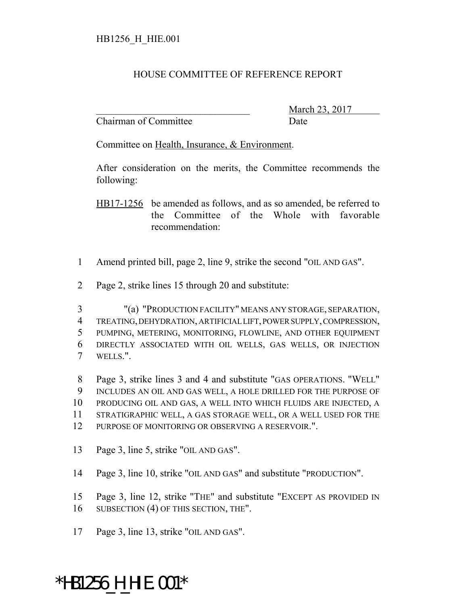## HOUSE COMMITTEE OF REFERENCE REPORT

Chairman of Committee Date

March 23, 2017

Committee on Health, Insurance, & Environment.

After consideration on the merits, the Committee recommends the following:

HB17-1256 be amended as follows, and as so amended, be referred to the Committee of the Whole with favorable recommendation:

- 1 Amend printed bill, page 2, line 9, strike the second "OIL AND GAS".
- 2 Page 2, strike lines 15 through 20 and substitute:
- 3 "(a) "PRODUCTION FACILITY" MEANS ANY STORAGE, SEPARATION, 4 TREATING, DEHYDRATION, ARTIFICIAL LIFT, POWER SUPPLY, COMPRESSION, 5 PUMPING, METERING, MONITORING, FLOWLINE, AND OTHER EQUIPMENT 6 DIRECTLY ASSOCIATED WITH OIL WELLS, GAS WELLS, OR INJECTION 7 WELLS.".

 Page 3, strike lines 3 and 4 and substitute "GAS OPERATIONS. "WELL" INCLUDES AN OIL AND GAS WELL, A HOLE DRILLED FOR THE PURPOSE OF PRODUCING OIL AND GAS, A WELL INTO WHICH FLUIDS ARE INJECTED, A STRATIGRAPHIC WELL, A GAS STORAGE WELL, OR A WELL USED FOR THE PURPOSE OF MONITORING OR OBSERVING A RESERVOIR.".

- 13 Page 3, line 5, strike "OIL AND GAS".
- 14 Page 3, line 10, strike "OIL AND GAS" and substitute "PRODUCTION".

15 Page 3, line 12, strike "THE" and substitute "EXCEPT AS PROVIDED IN 16 SUBSECTION (4) OF THIS SECTION, THE".

17 Page 3, line 13, strike "OIL AND GAS".

## \*HB1256\_H\_HIE.001\*